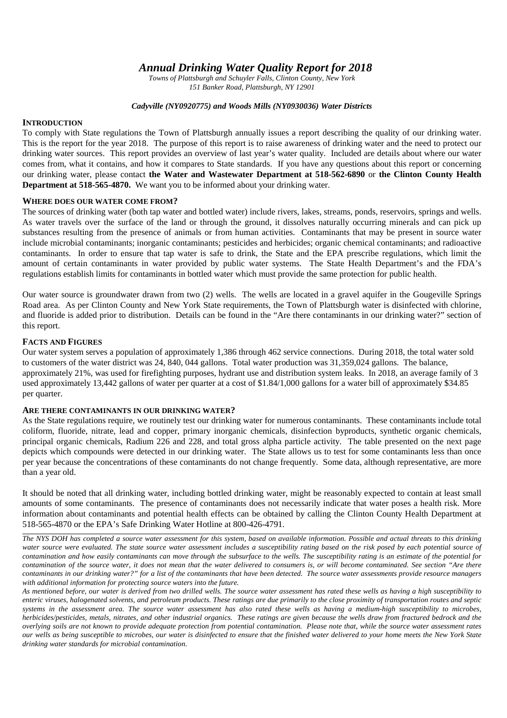*Annual Drinking Water Quality Report for 2018*

*Towns of Plattsburgh and Schuyler Falls, Clinton County, New York 151 Banker Road, Plattsburgh, NY 12901*

## *Cadyville (NY0920775) and Woods Mills (NY0930036) Water Districts*

## **INTRODUCTION**

To comply with State regulations the Town of Plattsburgh annually issues a report describing the quality of our drinking water. This is the report for the year 2018. The purpose of this report is to raise awareness of drinking water and the need to protect our drinking water sources. This report provides an overview of last year's water quality. Included are details about where our water comes from, what it contains, and how it compares to State standards. If you have any questions about this report or concerning our drinking water, please contact **the Water and Wastewater Department at 518-562-6890** or **the Clinton County Health Department at 518-565-4870.** We want you to be informed about your drinking water.

## **WHERE DOES OUR WATER COME FROM?**

The sources of drinking water (both tap water and bottled water) include rivers, lakes, streams, ponds, reservoirs, springs and wells. As water travels over the surface of the land or through the ground, it dissolves naturally occurring minerals and can pick up substances resulting from the presence of animals or from human activities. Contaminants that may be present in source water include microbial contaminants; inorganic contaminants; pesticides and herbicides; organic chemical contaminants; and radioactive contaminants. In order to ensure that tap water is safe to drink, the State and the EPA prescribe regulations, which limit the amount of certain contaminants in water provided by public water systems. The State Health Department's and the FDA's regulations establish limits for contaminants in bottled water which must provide the same protection for public health.

Our water source is groundwater drawn from two (2) wells. The wells are located in a gravel aquifer in the Gougeville Springs Road area. As per Clinton County and New York State requirements, the Town of Plattsburgh water is disinfected with chlorine, and fluoride is added prior to distribution. Details can be found in the "Are there contaminants in our drinking water?" section of this report.

## **FACTS AND FIGURES**

Our water system serves a population of approximately 1,386 through 462 service connections. During 2018, the total water sold to customers of the water district was 24, 840, 044 gallons. Total water production was 31,359,024 gallons. The balance, approximately 21%, was used for firefighting purposes, hydrant use and distribution system leaks. In 2018, an average family of 3 used approximately 13,442 gallons of water per quarter at a cost of \$1.84/1,000 gallons for a water bill of approximately \$34.85 per quarter.

## **ARE THERE CONTAMINANTS IN OUR DRINKING WATER?**

As the State regulations require, we routinely test our drinking water for numerous contaminants. These contaminants include total coliform, fluoride, nitrate, lead and copper, primary inorganic chemicals, disinfection byproducts, synthetic organic chemicals, principal organic chemicals, Radium 226 and 228, and total gross alpha particle activity. The table presented on the next page depicts which compounds were detected in our drinking water. The State allows us to test for some contaminants less than once per year because the concentrations of these contaminants do not change frequently. Some data, although representative, are more than a year old.

It should be noted that all drinking water, including bottled drinking water, might be reasonably expected to contain at least small amounts of some contaminants. The presence of contaminants does not necessarily indicate that water poses a health risk. More information about contaminants and potential health effects can be obtained by calling the Clinton County Health Department at 518-565-4870 or the EPA's Safe Drinking Water Hotline at 800-426-4791.

*The NYS DOH has completed a source water assessment for this system, based on available information. Possible and actual threats to this drinking water source were evaluated. The state source water assessment includes a susceptibility rating based on the risk posed by each potential source of contamination and how easily contaminants can move through the subsurface to the wells. The susceptibility rating is an estimate of the potential for contamination of the source water, it does not mean that the water delivered to consumers is, or will become contaminated. See section "Are there contaminants in our drinking water?" for a list of the contaminants that have been detected. The source water assessments provide resource managers with additional information for protecting source waters into the future.*

*As mentioned before, our water is derived from two drilled wells. The source water assessment has rated these wells as having a high susceptibility to enteric viruses, halogenated solvents, and petroleum products. These ratings are due primarily to the close proximity of transportation routes and septic systems in the assessment area. The source water assessment has also rated these wells as having a medium-high susceptibility to microbes, herbicides/pesticides, metals, nitrates, and other industrial organics. These ratings are given because the wells draw from fractured bedrock and the overlying soils are not known to provide adequate protection from potential contamination. Please note that, while the source water assessment rates our wells as being susceptible to microbes, our water is disinfected to ensure that the finished water delivered to your home meets the New York State drinking water standards for microbial contamination.*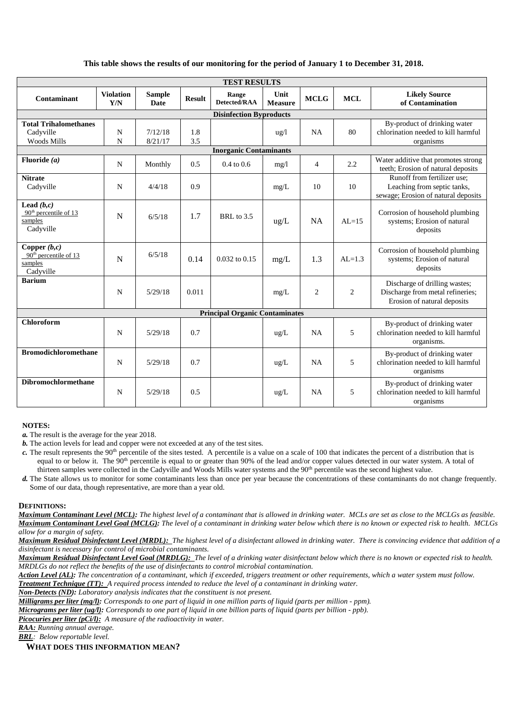## **This table shows the results of our monitoring for the period of January 1 to December 31, 2018.**

| <b>TEST RESULTS</b>                                                         |                         |                              |               |                              |                        |                |                |                                                                                                   |
|-----------------------------------------------------------------------------|-------------------------|------------------------------|---------------|------------------------------|------------------------|----------------|----------------|---------------------------------------------------------------------------------------------------|
| Contaminant                                                                 | <b>Violation</b><br>Y/N | <b>Sample</b><br><b>Date</b> | <b>Result</b> | Range<br><b>Detected/RAA</b> | Unit<br><b>Measure</b> | <b>MCLG</b>    | <b>MCL</b>     | <b>Likely Source</b><br>of Contamination                                                          |
| <b>Disinfection Byproducts</b>                                              |                         |                              |               |                              |                        |                |                |                                                                                                   |
| <b>Total Trihalomethanes</b><br>Cadyville<br><b>Woods Mills</b>             | N<br>N                  | 7/12/18<br>8/21/17           | 1.8<br>3.5    |                              | $u\,g/l$               | NA             | 80             | By-product of drinking water<br>chlorination needed to kill harmful<br>organisms                  |
| <b>Inorganic Contaminants</b>                                               |                         |                              |               |                              |                        |                |                |                                                                                                   |
| Fluoride $(a)$                                                              | $\mathbf N$             | Monthly                      | 0.5           | $0.4 \text{ to } 0.6$        | mg/1                   | $\overline{4}$ | 2.2            | Water additive that promotes strong<br>teeth; Erosion of natural deposits                         |
| <b>Nitrate</b><br>Cadyville                                                 | N                       | 4/4/18                       | 0.9           |                              | mg/L                   | 10             | 10             | Runoff from fertilizer use:<br>Leaching from septic tanks,<br>sewage; Erosion of natural deposits |
| Lead $(b,c)$<br>90 <sup>th</sup> percentile of 13<br>samples<br>Cadyville   | $\mathbf N$             | 6/5/18                       | 1.7           | BRL to 3.5                   | $\text{ug/L}$          | <b>NA</b>      | $AL=15$        | Corrosion of household plumbing<br>systems; Erosion of natural<br>deposits                        |
| Copper $(b,c)$<br>90 <sup>th</sup> percentile of 13<br>samples<br>Cadyville | N                       | 6/5/18                       | 0.14          | $0.032$ to $0.15$            | mg/L                   | 1.3            | $AI = 1.3$     | Corrosion of household plumbing<br>systems; Erosion of natural<br>deposits                        |
| <b>Barium</b>                                                               | N                       | 5/29/18                      | 0.011         |                              | mg/L                   | $\overline{2}$ | $\overline{2}$ | Discharge of drilling wastes;<br>Discharge from metal refineries;<br>Erosion of natural deposits  |
| <b>Principal Organic Contaminates</b>                                       |                         |                              |               |                              |                        |                |                |                                                                                                   |
| <b>Chloroform</b>                                                           | N                       | 5/29/18                      | 0.7           |                              | ug/L                   | NA             | 5              | By-product of drinking water<br>chlorination needed to kill harmful<br>organisms.                 |
| <b>Bromodichloromethane</b>                                                 | $\mathbf N$             | 5/29/18                      | 0.7           |                              | ug/L                   | NA             | 5              | By-product of drinking water<br>chlorination needed to kill harmful<br>organisms                  |
| Dibromochlormethane                                                         | N                       | 5/29/18                      | 0.5           |                              | ug/L                   | <b>NA</b>      | 5              | By-product of drinking water<br>chlorination needed to kill harmful<br>organisms                  |

#### **NOTES:**

*a.* The result is the average for the year 2018.

*b.* The action levels for lead and copper were not exceeded at any of the test sites.

*c*. The result represents the 90<sup>th</sup> percentile of the sites tested. A percentile is a value on a scale of 100 that indicates the percent of a distribution that is equal to or below it. The 90<sup>th</sup> percentile is equal to or greater than 90% of the lead and/or copper values detected in our water system. A total of thirteen samples were collected in the Cadyville and Woods Mills water systems and the 90<sup>th</sup> percentile was the second highest value.

*d.* The State allows us to monitor for some contaminants less than once per year because the concentrations of these contaminants do not change frequently. Some of our data, though representative, are more than a year old.

#### **DEFINITIONS:**

*Maximum Contaminant Level (MCL): The highest level of a contaminant that is allowed in drinking water. MCLs are set as close to the MCLGs as feasible. Maximum Contaminant Level Goal (MCLG): The level of a contaminant in drinking water below which there is no known or expected risk to health. MCLGs allow for a margin of safety.*

*Maximum Residual Disinfectant Level (MRDL): The highest level of a disinfectant allowed in drinking water. There is convincing evidence that addition of a disinfectant is necessary for control of microbial contaminants.*

*Maximum Residual Disinfectant Level Goal (MRDLG): The level of a drinking water disinfectant below which there is no known or expected risk to health. MRDLGs do not reflect the benefits of the use of disinfectants to control microbial contamination.*

*Action Level (AL): The concentration of a contaminant, which if exceeded, triggers treatment or other requirements, which a water system must follow.*

*Treatment Technique (TT): A required process intended to reduce the level of a contaminant in drinking water.*

*Non-Detects (ND): Laboratory analysis indicates that the constituent is not present.*

*Milligrams per liter (mg/l): Corresponds to one part of liquid in one million parts of liquid (parts per million - ppm).*

*Micrograms per liter (ug/l): Corresponds to one part of liquid in one billion parts of liquid (parts per billion - ppb).*

*Picocuries per liter (pCi/l): A measure of the radioactivity in water.*

*RAA: Running annual average.*

*BRL: Below reportable level.*

**WHAT DOES THIS INFORMATION MEAN?**